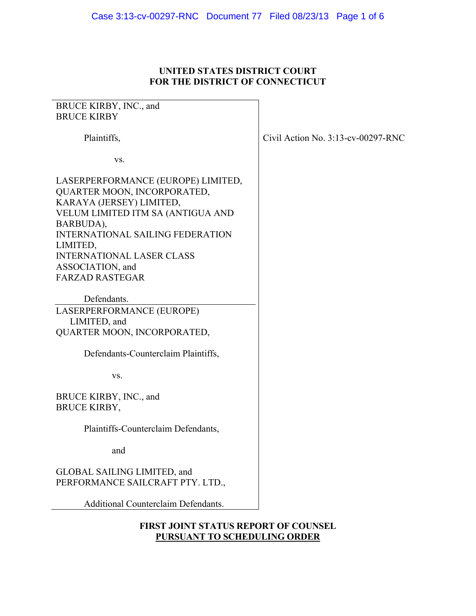### **UNITED STATES DISTRICT COURT FOR THE DISTRICT OF CONNECTICUT**

# BRUCE KIRBY, INC., and BRUCE KIRBY Plaintiffs, vs. LASERPERFORMANCE (EUROPE) LIMITED, QUARTER MOON, INCORPORATED, KARAYA (JERSEY) LIMITED, VELUM LIMITED ITM SA (ANTIGUA AND BARBUDA), INTERNATIONAL SAILING FEDERATION LIMITED, INTERNATIONAL LASER CLASS ASSOCIATION, and FARZAD RASTEGAR Defendants. LASERPERFORMANCE (EUROPE) LIMITED, and QUARTER MOON, INCORPORATED, Defendants-Counterclaim Plaintiffs, vs. BRUCE KIRBY, INC., and BRUCE KIRBY, Plaintiffs-Counterclaim Defendants, and GLOBAL SAILING LIMITED, and PERFORMANCE SAILCRAFT PTY. LTD., Additional Counterclaim Defendants.

Civil Action No. 3:13-cv-00297-RNC

## **FIRST JOINT STATUS REPORT OF COUNSEL PURSUANT TO SCHEDULING ORDER**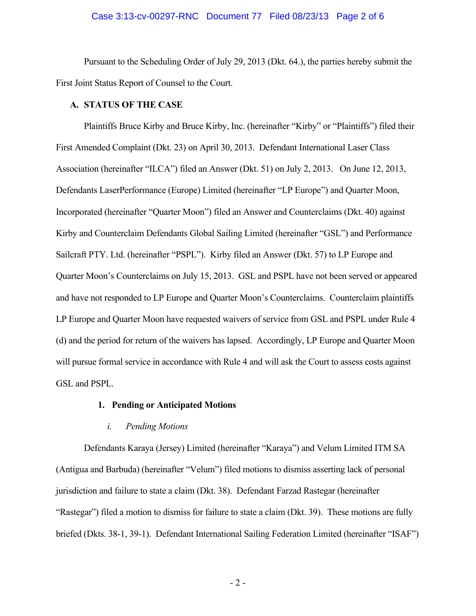#### Case 3:13-cv-00297-RNC Document 77 Filed 08/23/13 Page 2 of 6

 Pursuant to the Scheduling Order of July 29, 2013 (Dkt. 64.), the parties hereby submit the First Joint Status Report of Counsel to the Court.

#### **A. STATUS OF THE CASE**

Plaintiffs Bruce Kirby and Bruce Kirby, Inc. (hereinafter "Kirby" or "Plaintiffs") filed their First Amended Complaint (Dkt. 23) on April 30, 2013. Defendant International Laser Class Association (hereinafter "ILCA") filed an Answer (Dkt. 51) on July 2, 2013. On June 12, 2013, Defendants LaserPerformance (Europe) Limited (hereinafter "LP Europe") and Quarter Moon, Incorporated (hereinafter "Quarter Moon") filed an Answer and Counterclaims (Dkt. 40) against Kirby and Counterclaim Defendants Global Sailing Limited (hereinafter "GSL") and Performance Sailcraft PTY. Ltd. (hereinafter "PSPL"). Kirby filed an Answer (Dkt. 57) to LP Europe and Quarter Moon's Counterclaims on July 15, 2013. GSL and PSPL have not been served or appeared and have not responded to LP Europe and Quarter Moon's Counterclaims. Counterclaim plaintiffs LP Europe and Quarter Moon have requested waivers of service from GSL and PSPL under Rule 4 (d) and the period for return of the waivers has lapsed. Accordingly, LP Europe and Quarter Moon will pursue formal service in accordance with Rule 4 and will ask the Court to assess costs against GSL and PSPL.

#### **1. Pending or Anticipated Motions**

#### *i. Pending Motions*

 Defendants Karaya (Jersey) Limited (hereinafter "Karaya") and Velum Limited ITM SA (Antigua and Barbuda) (hereinafter "Velum") filed motions to dismiss asserting lack of personal jurisdiction and failure to state a claim (Dkt. 38). Defendant Farzad Rastegar (hereinafter "Rastegar") filed a motion to dismiss for failure to state a claim (Dkt. 39). These motions are fully briefed (Dkts. 38-1, 39-1). Defendant International Sailing Federation Limited (hereinafter "ISAF")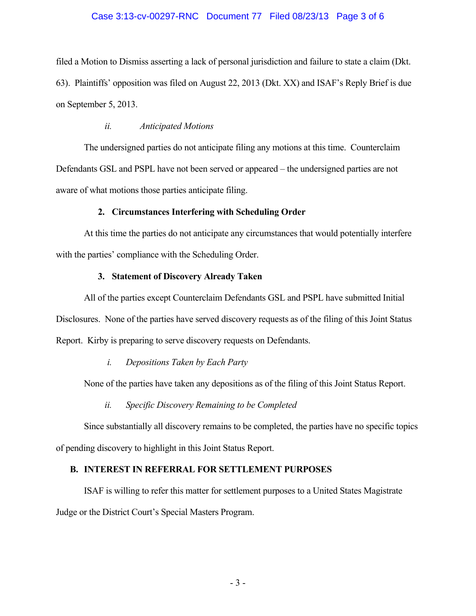## Case 3:13-cv-00297-RNC Document 77 Filed 08/23/13 Page 3 of 6

filed a Motion to Dismiss asserting a lack of personal jurisdiction and failure to state a claim (Dkt. 63). Plaintiffs' opposition was filed on August 22, 2013 (Dkt. XX) and ISAF's Reply Brief is due on September 5, 2013.

#### *ii. Anticipated Motions*

 The undersigned parties do not anticipate filing any motions at this time. Counterclaim Defendants GSL and PSPL have not been served or appeared – the undersigned parties are not aware of what motions those parties anticipate filing.

## **2. Circumstances Interfering with Scheduling Order**

 At this time the parties do not anticipate any circumstances that would potentially interfere with the parties' compliance with the Scheduling Order.

#### **3. Statement of Discovery Already Taken**

 All of the parties except Counterclaim Defendants GSL and PSPL have submitted Initial Disclosures. None of the parties have served discovery requests as of the filing of this Joint Status Report. Kirby is preparing to serve discovery requests on Defendants.

# *i. Depositions Taken by Each Party*

None of the parties have taken any depositions as of the filing of this Joint Status Report.

# *ii. Specific Discovery Remaining to be Completed*

 Since substantially all discovery remains to be completed, the parties have no specific topics of pending discovery to highlight in this Joint Status Report.

# **B. INTEREST IN REFERRAL FOR SETTLEMENT PURPOSES**

 ISAF is willing to refer this matter for settlement purposes to a United States Magistrate Judge or the District Court's Special Masters Program.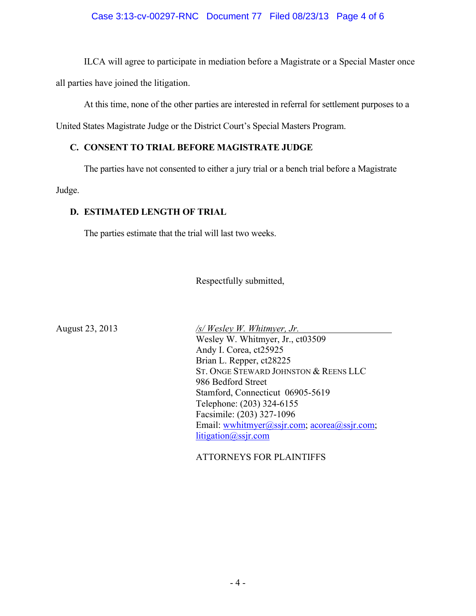# Case 3:13-cv-00297-RNC Document 77 Filed 08/23/13 Page 4 of 6

 ILCA will agree to participate in mediation before a Magistrate or a Special Master once all parties have joined the litigation.

At this time, none of the other parties are interested in referral for settlement purposes to a

United States Magistrate Judge or the District Court's Special Masters Program.

# **C. CONSENT TO TRIAL BEFORE MAGISTRATE JUDGE**

The parties have not consented to either a jury trial or a bench trial before a Magistrate

Judge.

## **D. ESTIMATED LENGTH OF TRIAL**

The parties estimate that the trial will last two weeks.

Respectfully submitted,

August 23, 2013 */s/ Wesley W. Whitmyer, Jr.*  Wesley W. Whitmyer, Jr., ct03509 Andy I. Corea, ct25925 Brian L. Repper, ct28225 ST. ONGE STEWARD JOHNSTON & REENS LLC 986 Bedford Street Stamford, Connecticut 06905-5619 Telephone: (203) 324-6155 Facsimile: (203) 327-1096 Email: wwhitmyer@ssjr.com; acorea@ssjr.com; litigation@ssjr.com

ATTORNEYS FOR PLAINTIFFS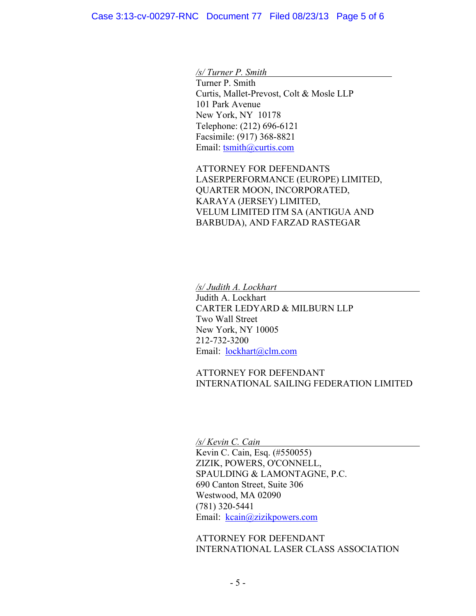*/s/ Turner P. Smith* 

 Turner P. Smith Curtis, Mallet-Prevost, Colt & Mosle LLP 101 Park Avenue New York, NY 10178 Telephone: (212) 696-6121 Facsimile: (917) 368-8821 Email: tsmith@curtis.com

ATTORNEY FOR DEFENDANTS LASERPERFORMANCE (EUROPE) LIMITED, QUARTER MOON, INCORPORATED, KARAYA (JERSEY) LIMITED, VELUM LIMITED ITM SA (ANTIGUA AND BARBUDA), AND FARZAD RASTEGAR

*/s/ Judith A. Lockhart* 

Judith A. Lockhart CARTER LEDYARD & MILBURN LLP Two Wall Street New York, NY 10005 212-732-3200 Email: lockhart@clm.com

ATTORNEY FOR DEFENDANT INTERNATIONAL SAILING FEDERATION LIMITED

*/s/ Kevin C. Cain*  Kevin C. Cain, Esq. (#550055) ZIZIK, POWERS, O'CONNELL, SPAULDING & LAMONTAGNE, P.C. 690 Canton Street, Suite 306 Westwood, MA 02090 (781) 320-5441 Email: kcain@zizikpowers.com

ATTORNEY FOR DEFENDANT INTERNATIONAL LASER CLASS ASSOCIATION